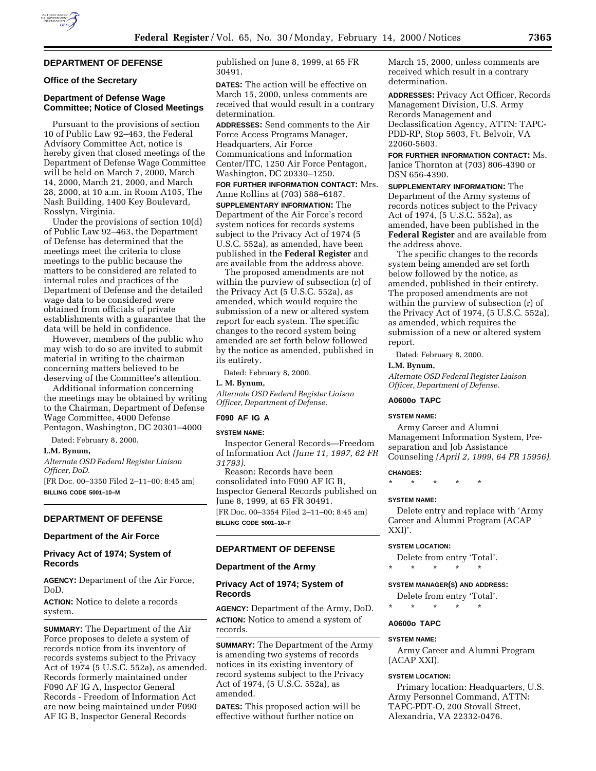# **DEPARTMENT OF DEFENSE**

## **Office of the Secretary**

## **Department of Defense Wage Committee; Notice of Closed Meetings**

Pursuant to the provisions of section 10 of Public Law 92–463, the Federal Advisory Committee Act, notice is hereby given that closed meetings of the Department of Defense Wage Committee will be held on March 7, 2000, March 14, 2000, March 21, 2000, and March 28, 2000, at 10 a.m. in Room A105, The Nash Building, 1400 Key Boulevard, Rosslyn, Virginia.

Under the provisions of section 10(d) of Public Law 92–463, the Department of Defense has determined that the meetings meet the criteria to close meetings to the public because the matters to be considered are related to internal rules and practices of the Department of Defense and the detailed wage data to be considered were obtained from officials of private establishments with a guarantee that the data will be held in confidence.

However, members of the public who may wish to do so are invited to submit material in writing to the chairman concerning matters believed to be deserving of the Committee's attention.

Additional information concerning the meetings may be obtained by writing to the Chairman, Department of Defense Wage Committee, 4000 Defense Pentagon, Washington, DC 20301–4000

Dated: February 8, 2000.

### **L.M. Bynum,**

*Alternate OSD Federal Register Liaison Officer, DoD.*

[FR Doc. 00–3350 Filed 2–11–00; 8:45 am] **BILLING CODE 5001–10–M**

# **DEPARTMENT OF DEFENSE**

## **Department of the Air Force**

### **Privacy Act of 1974; System of Records**

**AGENCY:** Department of the Air Force, DoD.

**ACTION:** Notice to delete a records system.

**SUMMARY:** The Department of the Air Force proposes to delete a system of records notice from its inventory of records systems subject to the Privacy Act of 1974 (5 U.S.C. 552a), as amended. Records formerly maintained under F090 AF IG A, Inspector General Records - Freedom of Information Act are now being maintained under F090 AF IG B, Inspector General Records

published on June 8, 1999, at 65 FR 30491.

**DATES:** The action will be effective on March 15, 2000, unless comments are received that would result in a contrary determination.

**ADDRESSES:** Send comments to the Air Force Access Programs Manager, Headquarters, Air Force Communications and Information Center/ITC, 1250 Air Force Pentagon, Washington, DC 20330–1250.

**FOR FURTHER INFORMATION CONTACT:** Mrs. Anne Rollins at (703) 588–6187.

**SUPPLEMENTARY INFORMATION:** The Department of the Air Force's record system notices for records systems subject to the Privacy Act of 1974 (5 U.S.C. 552a), as amended, have been published in the **Federal Register** and are available from the address above.

The proposed amendments are not within the purview of subsection (r) of the Privacy Act (5 U.S.C. 552a), as amended, which would require the submission of a new or altered system report for each system. The specific changes to the record system being amended are set forth below followed by the notice as amended, published in its entirety.

Dated: February 8, 2000.

## **L. M. Bynum,**

*Alternate OSD Federal Register Liaison Officer, Department of Defense.*

### **F090 AF IG A**

### **SYSTEM NAME:**

Inspector General Records—Freedom of Information Act *(June 11, 1997, 62 FR 31793).*

Reason: Records have been consolidated into F090 AF IG B, Inspector General Records published on June 8, 1999, at 65 FR 30491. [FR Doc. 00–3354 Filed 2–11–00; 8:45 am] **BILLING CODE 5001–10–F**

### **DEPARTMENT OF DEFENSE**

### **Department of the Army**

## **Privacy Act of 1974; System of Records**

**AGENCY:** Department of the Army, DoD. **ACTION:** Notice to amend a system of records.

**SUMMARY:** The Department of the Army is amending two systems of records notices in its existing inventory of record systems subject to the Privacy Act of 1974, (5 U.S.C. 552a), as amended.

**DATES:** This proposed action will be effective without further notice on

March 15, 2000, unless comments are received which result in a contrary determination.

**ADDRESSES:** Privacy Act Officer, Records Management Division, U.S. Army Records Management and Declassification Agency, ATTN: TAPC-PDD-RP, Stop 5603, Ft. Belvoir, VA 22060-5603.

**FOR FURTHER INFORMATION CONTACT:** Ms. Janice Thornton at (703) 806-4390 or DSN 656-4390.

**SUPPLEMENTARY INFORMATION:** The Department of the Army systems of records notices subject to the Privacy Act of 1974, (5 U.S.C. 552a), as amended, have been published in the **Federal Register** and are available from the address above.

The specific changes to the records system being amended are set forth below followed by the notice, as amended, published in their entirety. The proposed amendments are not within the purview of subsection (r) of the Privacy Act of 1974, (5 U.S.C. 552a), as amended, which requires the submission of a new or altered system report.

Dated: February 8, 2000.

### **L.M. Bynum,**

*Alternate OSD Federal Register Liaison Officer, Department of Defense.*

## **A0600o TAPC**

### **SYSTEM NAME:**

Army Career and Alumni Management Information System, Preseparation and Job Assistance Counseling *(April 2, 1999, 64 FR 15956)*.

#### **CHANGES:**

\* \* \* \* \*

#### **SYSTEM NAME:**

Delete entry and replace with 'Army Career and Alumni Program (ACAP XXI)'.

#### **SYSTEM LOCATION:**

- Delete from entry 'Total'.
- \* \* \* \* \*

#### **SYSTEM MANAGER(S) AND ADDRESS:**

- Delete from entry 'Total'.
- \* \* \* \* \*

#### **A0600o TAPC**

#### **SYSTEM NAME:**

Army Career and Alumni Program (ACAP XXI).

#### **SYSTEM LOCATION:**

Primary location: Headquarters, U.S. Army Personnel Command, ATTN: TAPC-PDT-O, 200 Stovall Street, Alexandria, VA 22332-0476.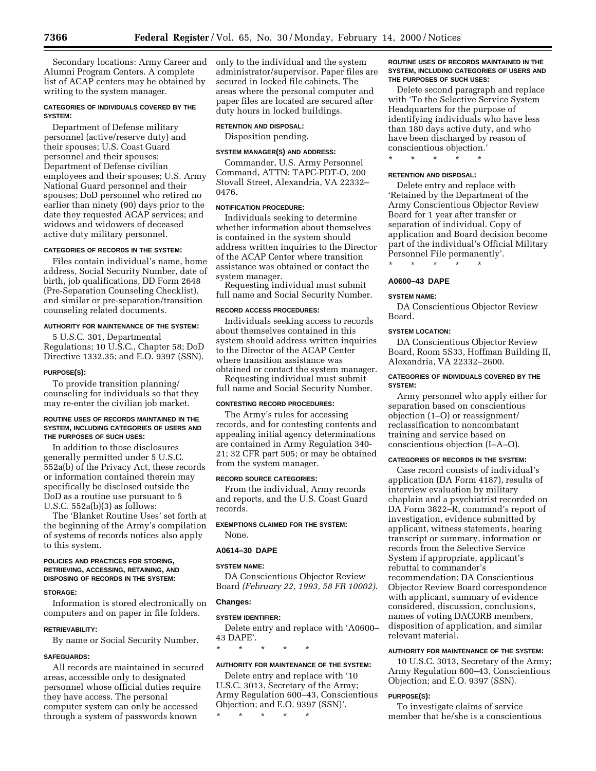Secondary locations: Army Career and Alumni Program Centers. A complete list of ACAP centers may be obtained by writing to the system manager.

## **CATEGORIES OF INDIVIDUALS COVERED BY THE SYSTEM:**

Department of Defense military personnel (active/reserve duty) and their spouses; U.S. Coast Guard personnel and their spouses; Department of Defense civilian employees and their spouses; U.S. Army National Guard personnel and their spouses; DoD personnel who retired no earlier than ninety (90) days prior to the date they requested ACAP services; and widows and widowers of deceased active duty military personnel.

### **CATEGORIES OF RECORDS IN THE SYSTEM:**

Files contain individual's name, home address, Social Security Number, date of birth, job qualifications, DD Form 2648 (Pre-Separation Counseling Checklist), and similar or pre-separation/transition counseling related documents.

#### **AUTHORITY FOR MAINTENANCE OF THE SYSTEM:**

5 U.S.C. 301, Departmental Regulations; 10 U.S.C., Chapter 58; DoD Directive 1332.35; and E.O. 9397 (SSN).

#### **PURPOSE(S):**

To provide transition planning/ counseling for individuals so that they may re-enter the civilian job market.

#### **ROUTINE USES OF RECORDS MAINTAINED IN THE SYSTEM, INCLUDING CATEGORIES OF USERS AND THE PURPOSES OF SUCH USES:**

In addition to those disclosures generally permitted under 5 U.S.C. 552a(b) of the Privacy Act, these records or information contained therein may specifically be disclosed outside the DoD as a routine use pursuant to 5 U.S.C. 552a(b)(3) as follows:

The 'Blanket Routine Uses' set forth at the beginning of the Army's compilation of systems of records notices also apply to this system.

#### **POLICIES AND PRACTICES FOR STORING, RETRIEVING, ACCESSING, RETAINING, AND DISPOSING OF RECORDS IN THE SYSTEM:**

#### **STORAGE:**

Information is stored electronically on computers and on paper in file folders.

#### **RETRIEVABILITY:**

By name or Social Security Number.

## **SAFEGUARDS:**

All records are maintained in secured areas, accessible only to designated personnel whose official duties require they have access. The personal computer system can only be accessed through a system of passwords known

only to the individual and the system administrator/supervisor. Paper files are secured in locked file cabinets. The areas where the personal computer and paper files are located are secured after duty hours in locked buildings.

#### **RETENTION AND DISPOSAL:**

Disposition pending.

### **SYSTEM MANAGER(S) AND ADDRESS:**

Commander, U.S. Army Personnel Command, ATTN: TAPC-PDT-O, 200 Stovall Street, Alexandria, VA 22332– 0476.

## **NOTIFICATION PROCEDURE:**

Individuals seeking to determine whether information about themselves is contained in the system should address written inquiries to the Director of the ACAP Center where transition assistance was obtained or contact the system manager.

Requesting individual must submit full name and Social Security Number.

### **RECORD ACCESS PROCEDURES:**

Individuals seeking access to records about themselves contained in this system should address written inquiries to the Director of the ACAP Center where transition assistance was obtained or contact the system manager.

Requesting individual must submit full name and Social Security Number.

### **CONTESTING RECORD PROCEDURES:**

The Army's rules for accessing records, and for contesting contents and appealing initial agency determinations are contained in Army Regulation 340- 21; 32 CFR part 505; or may be obtained from the system manager.

### **RECORD SOURCE CATEGORIES:**

From the individual, Army records and reports, and the U.S. Coast Guard records.

### **EXEMPTIONS CLAIMED FOR THE SYSTEM:**

None.

## **A0614–30 DAPE**

#### **SYSTEM NAME:**

DA Conscientious Objector Review Board *(February 22, 1993, 58 FR 10002)*.

### **Changes:**

#### **SYSTEM IDENTIFIER:**

Delete entry and replace with 'A0600– 43 DAPE'.

\* \* \* \* \*

#### **AUTHORITY FOR MAINTENANCE OF THE SYSTEM:**

Delete entry and replace with '10 U.S.C. 3013, Secretary of the Army; Army Regulation 600–43, Conscientious Objection; and E.O. 9397 (SSN)'.

\* \* \* \* \*

### **ROUTINE USES OF RECORDS MAINTAINED IN THE SYSTEM, INCLUDING CATEGORIES OF USERS AND THE PURPOSES OF SUCH USES:**

Delete second paragraph and replace with 'To the Selective Service System Headquarters for the purpose of identifying individuals who have less than 180 days active duty, and who have been discharged by reason of conscientious objection.'

\* \* \* \* \*

## **RETENTION AND DISPOSAL:**

Delete entry and replace with 'Retained by the Department of the Army Conscientious Objector Review Board for 1 year after transfer or separation of individual. Copy of application and Board decision become part of the individual's Official Military Personnel File permanently'.

#### **A0600–43 DAPE**

\* \* \* \* \*

#### **SYSTEM NAME:**

DA Conscientious Objector Review Board.

### **SYSTEM LOCATION:**

DA Conscientious Objector Review Board, Room 5S33, Hoffman Building II, Alexandria, VA 22332–2600.

## **CATEGORIES OF INDIVIDUALS COVERED BY THE SYSTEM:**

Army personnel who apply either for separation based on conscientious objection (1–O) or reassignment/ reclassification to noncombatant training and service based on conscientious objection (I–A–O).

### **CATEGORIES OF RECORDS IN THE SYSTEM:**

Case record consists of individual's application (DA Form 4187), results of interview evaluation by military chaplain and a psychiatrist recorded on DA Form 3822–R, command's report of investigation, evidence submitted by applicant, witness statements, hearing transcript or summary, information or records from the Selective Service System if appropriate, applicant's rebuttal to commander's recommendation; DA Conscientious Objector Review Board correspondence with applicant, summary of evidence considered, discussion, conclusions, names of voting DACORB members, disposition of application, and similar relevant material.

## **AUTHORITY FOR MAINTENANCE OF THE SYSTEM:**

10 U.S.C. 3013, Secretary of the Army; Army Regulation 600–43, Conscientious Objection; and E.O. 9397 (SSN).

#### **PURPOSE(S):**

To investigate claims of service member that he/she is a conscientious